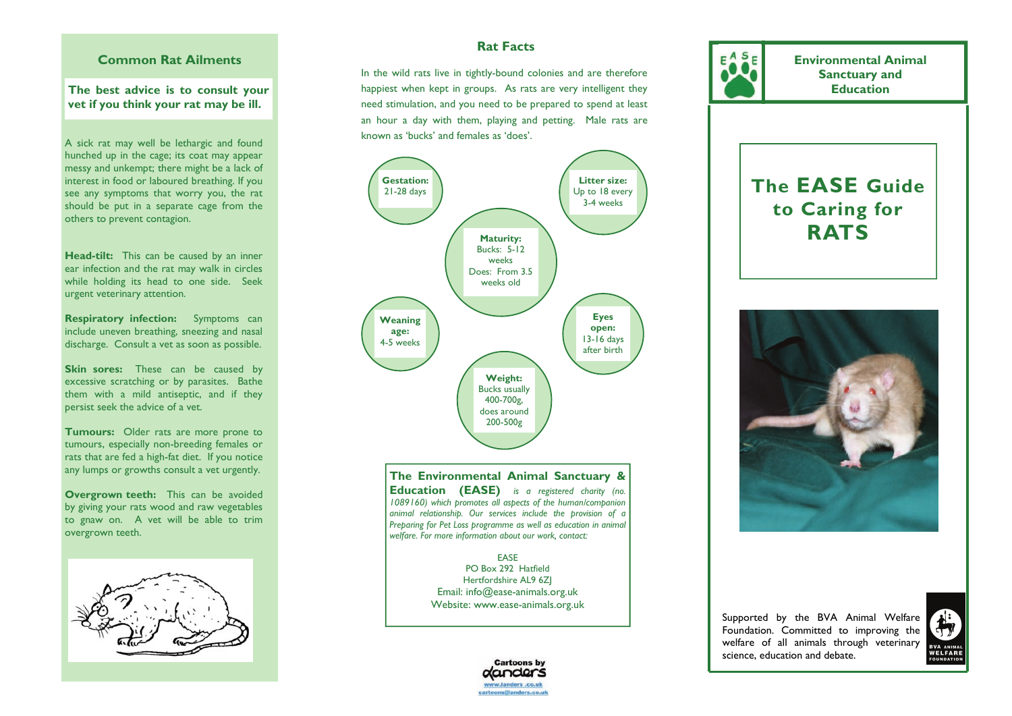## **Common Rat Ailments**

### **The best advice is to consult your vet if you think your rat may be ill.**

A sick rat may well be lethargic and found hunched up in the cage; its coat may appear messy and unkempt; there might be a lack of interest in food or laboured breathing. If you see any symptoms that worry you, the rat should be put in a separate cage from the others to prevent contagion.

**Head-tilt:** This can be caused by an inner ear infection and the rat may walk in circles while holding its head to one side. Seek urgent veterinary attention.

**Respiratory infection:** Symptoms can include uneven breathing, sneezing and nasal discharge. Consult a vet as soon as possible.

**Skin sores:** These can be caused by excessive scratching or by parasites. Bathe them with a mild antiseptic, and if they persist seek the advice of a vet.

**Tumours:** Older rats are more prone to tumours, especially non-breeding females or rats that are fed a high-fat diet. If you notice any lumps or growths consult a vet urgently.

**Overgrown teeth:** This can be avoided by giving your rats wood and raw vegetables to gnaw on. A vet will be able to trim overgrown teeth.



## **Rat Facts**

In the wild rats live in tightly-bound colonies and are therefore happiest when kept in groups. As rats are very intelligent they need stimulation, and you need to be prepared to spend at least an hour a day with them, playing and petting. Male rats are known as 'bucks' and females as 'does'.



**The Environmental Animal Sanctuary & Education (EASE)** *is a registered charity (no. 1089160) which promotes all aspects of the human/companion animal relationship. Our services include the provision of a Preparing for Pet Loss programme as well as education in animal welfare. For more information about our work, contact:* 

> EASE PO Box 292 Hatfield Hertfordshire AL9 6ZJ Email: info@ease-animals.org.uk Website: www.ease-animals.org.uk



**Environmental Animal Sanctuary and Education** 

# **The EASE Guide to Caring for RATS**



Supported by the BVA Animal Welfare Foundation. Committed to improving the welfare of all animals through veterinary science, education and debate.